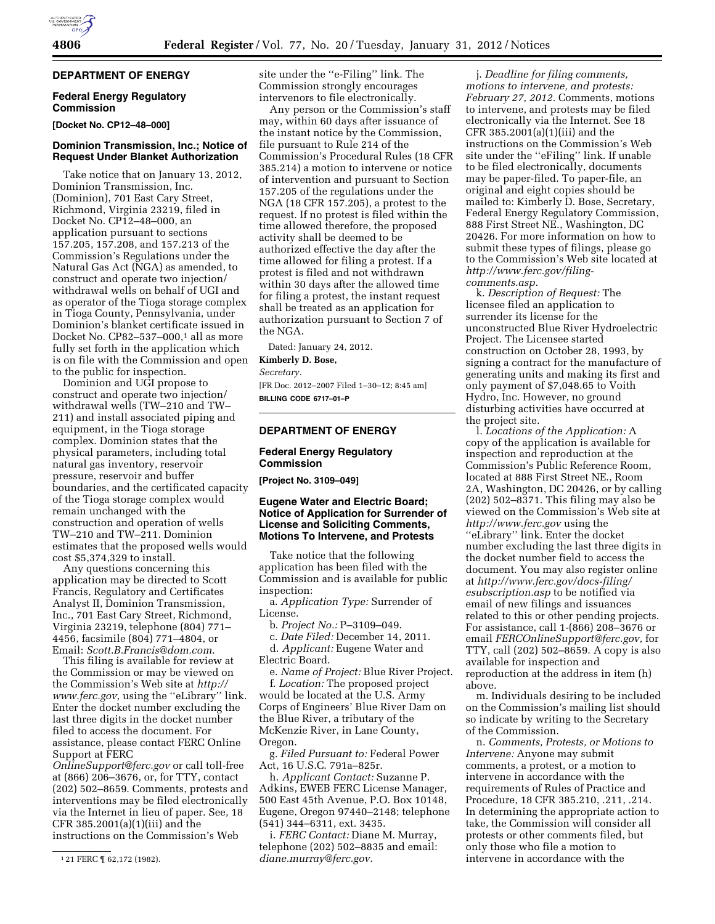# **DEPARTMENT OF ENERGY**

#### **Federal Energy Regulatory Commission**

**[Docket No. CP12–48–000]** 

## **Dominion Transmission, Inc.; Notice of Request Under Blanket Authorization**

Take notice that on January 13, 2012, Dominion Transmission, Inc. (Dominion), 701 East Cary Street, Richmond, Virginia 23219, filed in Docket No. CP12–48–000, an application pursuant to sections 157.205, 157.208, and 157.213 of the Commission's Regulations under the Natural Gas Act (NGA) as amended, to construct and operate two injection/ withdrawal wells on behalf of UGI and as operator of the Tioga storage complex in Tioga County, Pennsylvania, under Dominion's blanket certificate issued in Docket No. CP82-537-000, $1$  all as more fully set forth in the application which is on file with the Commission and open to the public for inspection.

Dominion and UGI propose to construct and operate two injection/ withdrawal wells (TW–210 and TW– 211) and install associated piping and equipment, in the Tioga storage complex. Dominion states that the physical parameters, including total natural gas inventory, reservoir pressure, reservoir and buffer boundaries, and the certificated capacity of the Tioga storage complex would remain unchanged with the construction and operation of wells TW–210 and TW–211. Dominion estimates that the proposed wells would cost \$5,374,329 to install.

Any questions concerning this application may be directed to Scott Francis, Regulatory and Certificates Analyst II, Dominion Transmission, Inc., 701 East Cary Street, Richmond, Virginia 23219, telephone (804) 771– 4456, facsimile (804) 771–4804, or Email: *[Scott.B.Francis@dom.com](mailto:Scott.B.Francis@dom.com)*.

This filing is available for review at the Commission or may be viewed on the Commission's Web site at *[http://](http://www.ferc.gov) [www.ferc.gov,](http://www.ferc.gov)* using the ''eLibrary'' link. Enter the docket number excluding the last three digits in the docket number filed to access the document. For assistance, please contact FERC Online Support at FERC

*[OnlineSupport@ferc.gov](mailto:OnlineSupport@ferc.gov)* or call toll-free at (866) 206–3676, or, for TTY, contact (202) 502–8659. Comments, protests and interventions may be filed electronically via the Internet in lieu of paper. See, 18 CFR 385.2001(a)(1)(iii) and the instructions on the Commission's Web

site under the ''e-Filing'' link. The Commission strongly encourages intervenors to file electronically.

Any person or the Commission's staff may, within 60 days after issuance of the instant notice by the Commission, file pursuant to Rule 214 of the Commission's Procedural Rules (18 CFR 385.214) a motion to intervene or notice of intervention and pursuant to Section 157.205 of the regulations under the NGA (18 CFR 157.205), a protest to the request. If no protest is filed within the time allowed therefore, the proposed activity shall be deemed to be authorized effective the day after the time allowed for filing a protest. If a protest is filed and not withdrawn within 30 days after the allowed time for filing a protest, the instant request shall be treated as an application for authorization pursuant to Section 7 of the NGA.

Dated: January 24, 2012.

# **Kimberly D. Bose,**

*Secretary.* 

[FR Doc. 2012–2007 Filed 1–30–12; 8:45 am] **BILLING CODE 6717–01–P** 

#### **DEPARTMENT OF ENERGY**

## **Federal Energy Regulatory Commission**

**[Project No. 3109–049]** 

## **Eugene Water and Electric Board; Notice of Application for Surrender of License and Soliciting Comments, Motions To Intervene, and Protests**

Take notice that the following application has been filed with the Commission and is available for public inspection:

a. *Application Type:* Surrender of License.

b. *Project No.:* P–3109–049.

c. *Date Filed:* December 14, 2011. d. *Applicant:* Eugene Water and Electric Board.

e. *Name of Project:* Blue River Project. f. *Location:* The proposed project would be located at the U.S. Army Corps of Engineers' Blue River Dam on the Blue River, a tributary of the McKenzie River, in Lane County, Oregon.

g. *Filed Pursuant to:* Federal Power Act, 16 U.S.C. 791a–825r.

h. *Applicant Contact:* Suzanne P. Adkins, EWEB FERC License Manager, 500 East 45th Avenue, P.O. Box 10148, Eugene, Oregon 97440–2148; telephone (541) 344–6311, ext. 3435.

i. *FERC Contact:* Diane M. Murray, telephone (202) 502–8835 and email: *[diane.murray@ferc.gov.](mailto:diane.murray@ferc.gov)* 

j. *Deadline for filing comments, motions to intervene, and protests: February 27, 2012.* Comments, motions to intervene, and protests may be filed electronically via the Internet. See 18 CFR 385.2001(a)(1)(iii) and the instructions on the Commission's Web site under the ''eFiling'' link. If unable to be filed electronically, documents may be paper-filed. To paper-file, an original and eight copies should be mailed to: Kimberly D. Bose, Secretary, Federal Energy Regulatory Commission, 888 First Street NE., Washington, DC 20426. For more information on how to submit these types of filings, please go to the Commission's Web site located at *[http://www.ferc.gov/filing](http://www.ferc.gov/filing-comments.asp)[comments.asp.](http://www.ferc.gov/filing-comments.asp)* 

k. *Description of Request:* The licensee filed an application to surrender its license for the unconstructed Blue River Hydroelectric Project. The Licensee started construction on October 28, 1993, by signing a contract for the manufacture of generating units and making its first and only payment of \$7,048.65 to Voith Hydro, Inc. However, no ground disturbing activities have occurred at the project site.

l. *Locations of the Application:* A copy of the application is available for inspection and reproduction at the Commission's Public Reference Room, located at 888 First Street NE., Room 2A, Washington, DC 20426, or by calling (202) 502–8371. This filing may also be viewed on the Commission's Web site at *<http://www.ferc.gov>*using the ''eLibrary'' link. Enter the docket number excluding the last three digits in the docket number field to access the document. You may also register online at *[http://www.ferc.gov/docs-filing/](http://www.ferc.gov/docs-filing/esubscription.asp) [esubscription.asp](http://www.ferc.gov/docs-filing/esubscription.asp)* to be notified via email of new filings and issuances related to this or other pending projects. For assistance, call 1-(866) 208–3676 or email *[FERCOnlineSupport@ferc.gov,](mailto:FERCOnlineSupport@ferc.gov)* for TTY, call (202) 502–8659. A copy is also available for inspection and reproduction at the address in item (h) above.

m. Individuals desiring to be included on the Commission's mailing list should so indicate by writing to the Secretary of the Commission.

n. *Comments, Protests, or Motions to Intervene:* Anyone may submit comments, a protest, or a motion to intervene in accordance with the requirements of Rules of Practice and Procedure, 18 CFR 385.210, .211, .214. In determining the appropriate action to take, the Commission will consider all protests or other comments filed, but only those who file a motion to intervene in accordance with the

<sup>1</sup> 21 FERC ¶ 62,172 (1982).